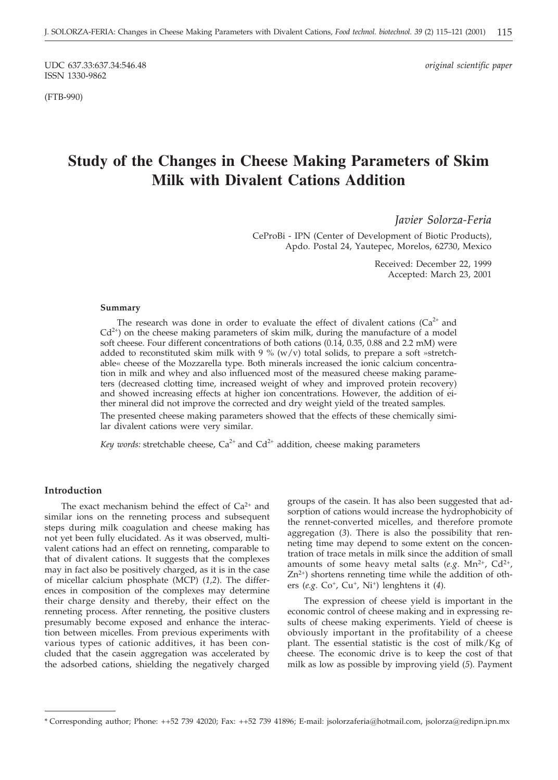UDC 637.33:637.34:546.48 *original scientific paper* ISSN 1330-9862

(FTB-990)

# **Study of the Changes in Cheese Making Parameters of Skim Milk with Divalent Cations Addition**

*Javier Solorza-Feria*

CeProBi - IPN (Center of Development of Biotic Products), Apdo. Postal 24, Yautepec, Morelos, 62730, Mexico

> Received: December 22, 1999 Accepted: March 23, 2001

#### **Summary**

The research was done in order to evaluate the effect of divalent cations  $(Ca^{2+}$  and  $Cd^{2+}$ ) on the cheese making parameters of skim milk, during the manufacture of a model soft cheese. Four different concentrations of both cations (0.14, 0.35, 0.88 and 2.2 mM) were added to reconstituted skim milk with  $9\%$  (w/v) total solids, to prepare a soft »stretchable« cheese of the Mozzarella type. Both minerals increased the ionic calcium concentration in milk and whey and also influenced most of the measured cheese making parameters (decreased clotting time, increased weight of whey and improved protein recovery) and showed increasing effects at higher ion concentrations. However, the addition of either mineral did not improve the corrected and dry weight yield of the treated samples.

The presented cheese making parameters showed that the effects of these chemically similar divalent cations were very similar.

*Key words:* stretchable cheese,  $Ca^{2+}$  and  $Cd^{2+}$  addition, cheese making parameters

### **Introduction**

The exact mechanism behind the effect of  $Ca^{2+}$  and similar ions on the renneting process and subsequent steps during milk coagulation and cheese making has not yet been fully elucidated. As it was observed, multivalent cations had an effect on renneting, comparable to that of divalent cations. It suggests that the complexes may in fact also be positively charged, as it is in the case of micellar calcium phosphate (MCP) (*1,2*). The differences in composition of the complexes may determine their charge density and thereby, their effect on the renneting process. After renneting, the positive clusters presumably become exposed and enhance the interaction between micelles. From previous experiments with various types of cationic additives, it has been concluded that the casein aggregation was accelerated by the adsorbed cations, shielding the negatively charged

groups of the casein. It has also been suggested that adsorption of cations would increase the hydrophobicity of the rennet-converted micelles, and therefore promote aggregation (*3*). There is also the possibility that renneting time may depend to some extent on the concentration of trace metals in milk since the addition of small amounts of some heavy metal salts ( $e.g. \text{ Mn}^{2+}$ ,  $\text{Cd}^{2+}$ ,  $Zn^{2+}$ ) shortens renneting time while the addition of others (*e.g*. Co+, Cu+, Ni+) lenghtens it (*4*).

The expression of cheese yield is important in the economic control of cheese making and in expressing results of cheese making experiments. Yield of cheese is obviously important in the profitability of a cheese plant. The essential statistic is the cost of milk/Kg of cheese. The economic drive is to keep the cost of that milk as low as possible by improving yield (*5*). Payment

<sup>\*</sup> Corresponding author; Phone: ++52 739 42020; Fax: ++52 739 41896; E-mail: jsolorzaferia@hotmail.com, jsolorza@redipn.ipn.mx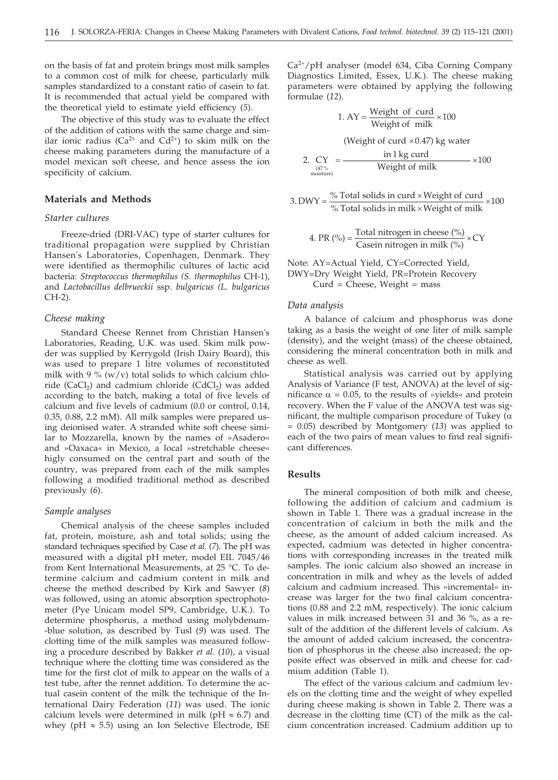on the basis of fat and protein brings most milk samples to a common cost of milk for cheese, particularly milk samples standardized to a constant ratio of casein to fat. It is recommended that actual yield be compared with the theoretical yield to estimate yield efficiency (*5*).

The objective of this study was to evaluate the effect of the addition of cations with the same charge and similar ionic radius ( $Ca^{2+}$  and  $Cd^{2+}$ ) to skim milk on the cheese making parameters during the manufacture of a model mexican soft cheese, and hence assess the ion specificity of calcium.

# **Materials and Methods**

#### *Starter cultures*

Freeze-dried (DRI-VAC) type of starter cultures for traditional propagation were supplied by Christian Hansen's Laboratories, Copenhagen, Denmark. They were identified as thermophilic cultures of lactic acid bacteria: *Streptococcus thermophilus (S. thermophilus* CH-1), and *Lactobacillus delbrueckii* ssp. *bulgaricus (L. bulgaricus* CH-2).

#### *Cheese making*

Standard Cheese Rennet from Christian Hansen's Laboratories, Reading, U.K. was used. Skim milk powder was supplied by Kerrygold (Irish Dairy Board), this was used to prepare 1 litre volumes of reconstituted milk with 9 % (w/v) total solids to which calcium chloride (CaCl<sub>2</sub>) and cadmium chloride (CdCl<sub>2</sub>) was added according to the batch, making a total of five levels of calcium and five levels of cadmium (0.0 or control, 0.14, 0.35, 0.88, 2.2 mM). All milk samples were prepared using deionised water. A stranded white soft cheese similar to Mozzarella, known by the names of »Asadero« and »Oaxaca« in Mexico, a local »stretchable cheese« higly consumed on the central part and south of the country, was prepared from each of the milk samples following a modified traditional method as described previously (*6*).

#### *Sample analyses*

Chemical analysis of the cheese samples included fat, protein, moisture, ash and total solids; using the standard techniques specified by Case *et al.* (*7*). The pH was measured with a digital pH meter, model EIL 7045/46 from Kent International Measurements, at 25 °C. To determine calcium and cadmium content in milk and cheese the method described by Kirk and Sawyer (*8*) was followed, using an atomic absorption spectrophotometer (Pye Unicam model SP9, Cambridge, U.K.). To determine phosphorus, a method using molybdenum- -blue solution, as described by Tusl (*9*) was used. The clotting time of the milk samples was measured following a procedure described by Bakker *et al.* (*10*), a visual technique where the clotting time was considered as the time for the first clot of milk to appear on the walls of a test tube, after the rennet addition. To determine the actual casein content of the milk the technique of the International Dairy Federation (*11*) was used. The ionic calcium levels were determined in milk ( $pH \approx 6.7$ ) and whey (pH  $\approx$  5.5) using an Ion Selective Electrode, ISE Ca2+/pH analyser (model 634, Ciba Corning Company Diagnostics Limited, Essex, U.K.). The cheese making parameters were obtained by applying the following formulae (*12*).

1. AY = Weight of 
$$
\frac{W \text{right of } \text{curl}}{W \text{right of } \text{milk}} \times 100
$$
  
\n(Weight of  $\text{curl} \times 0.47$ ) kg water  
\n
$$
C_{\frac{\text{QY}}{\text{noise}} = \frac{\text{in 1 kg curl}}{W \text{right of } \text{milk}} \times 100
$$

3. DWY = 
$$
\frac{\% \text{ Total solids in curd} \times \text{Weight of curd}}{\% \text{ Total solids in milk} \times \text{Weight of milk}} \times 100
$$

4. PR (%) =  $\frac{\text{Total nitrogen in cheese } (\%)}{\text{Casein nitrogen in milk } (\%)}$  $\frac{\text{se}(\sqrt{0})}{\text{lk}(\%)}$  × CY

Note: AY=Actual Yield, CY=Corrected Yield, DWY=Dry Weight Yield, PR=Protein Recovery  $Curd = Cheese, Weight = mass$ 

#### *Data analysis*

 $\mathcal{P}$ 

A balance of calcium and phosphorus was done taking as a basis the weight of one liter of milk sample (density), and the weight (mass) of the cheese obtained, considering the mineral concentration both in milk and cheese as well.

Statistical analysis was carried out by applying Analysis of Variance (F test, ANOVA) at the level of significance  $\alpha = 0.05$ , to the results of »yields« and protein recovery. When the F value of the ANOVA test was significant, the multiple comparison procedure of Tukey ( $\alpha$ ) = 0.05) described by Montgomery (*13*) was applied to each of the two pairs of mean values to find real significant differences.

## **Results**

The mineral composition of both milk and cheese, following the addition of calcium and cadmium is shown in Table 1. There was a gradual increase in the concentration of calcium in both the milk and the cheese, as the amount of added calcium increased. As expected, cadmium was detected in higher concentrations with corresponding increases in the treated milk samples. The ionic calcium also showed an increase in concentration in milk and whey as the levels of added calcium and cadmium increased. This »incremental« increase was larger for the two final calcium concentrations (0.88 and 2.2 mM, respectively). The ionic calcium values in milk increased between 31 and 36 %, as a result of the addition of the different levels of calcium. As the amount of added calcium increased, the concentration of phosphorus in the cheese also increased; the opposite effect was observed in milk and cheese for cadmium addition (Table 1).

The effect of the various calcium and cadmium levels on the clotting time and the weight of whey expelled during cheese making is shown in Table 2. There was a decrease in the clotting time (CT) of the milk as the calcium concentration increased. Cadmium addition up to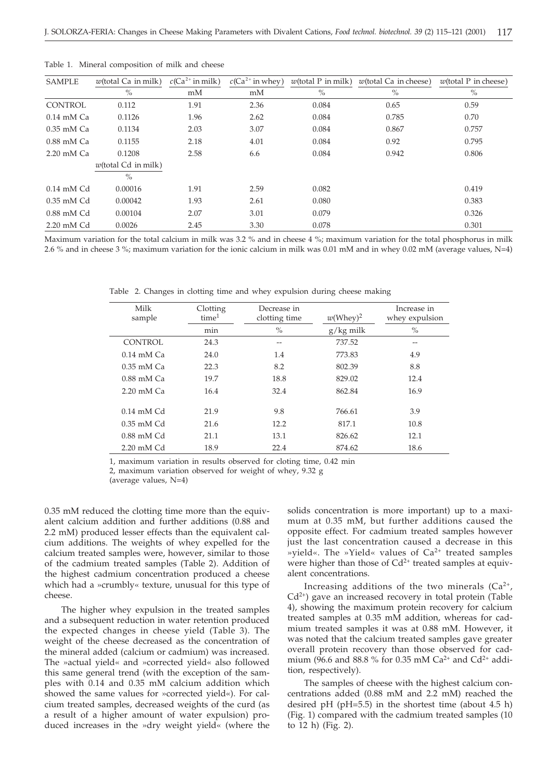| <b>SAMPLE</b>         | $w$ (total Ca in milk) | $c(Ca^{2+}$ in milk) | $c(Ca^{2+}$ in whey) | $w$ (total P in milk) | $w$ (total Ca in cheese) | $w$ (total P in cheese) |
|-----------------------|------------------------|----------------------|----------------------|-----------------------|--------------------------|-------------------------|
|                       | $\%$                   | mM                   | mM                   | $\%$                  | $\%$                     | $\%$                    |
| <b>CONTROL</b>        | 0.112                  | 1.91                 | 2.36                 | 0.084                 | 0.65                     | 0.59                    |
| $0.14$ mM $Ca$        | 0.1126                 | 1.96                 | 2.62                 | 0.084                 | 0.785                    | 0.70                    |
| $0.35$ mM $Ca$        | 0.1134                 | 2.03                 | 3.07                 | 0.084                 | 0.867                    | 0.757                   |
| $0.88$ mM $Ca$        | 0.1155                 | 2.18                 | 4.01                 | 0.084                 | 0.92                     | 0.795                   |
| $2.20 \text{ mM}$ Ca  | 0.1208                 | 2.58                 | 6.6                  | 0.084                 | 0.942                    | 0.806                   |
|                       | $w$ (total Cd in milk) |                      |                      |                       |                          |                         |
|                       | $\%$                   |                      |                      |                       |                          |                         |
| $0.14 \text{ mM } Cd$ | 0.00016                | 1.91                 | 2.59                 | 0.082                 |                          | 0.419                   |
| $0.35$ mM Cd          | 0.00042                | 1.93                 | 2.61                 | 0.080                 |                          | 0.383                   |
| $0.88$ mM Cd          | 0.00104                | 2.07                 | 3.01                 | 0.079                 |                          | 0.326                   |
| 2.20 mM Cd            | 0.0026                 | 2.45                 | 3.30                 | 0.078                 |                          | 0.301                   |

Table 1. Mineral composition of milk and cheese

Maximum variation for the total calcium in milk was 3.2 % and in cheese 4 %; maximum variation for the total phosphorus in milk 2.6 % and in cheese 3 %; maximum variation for the ionic calcium in milk was 0.01 mM and in whey 0.02 mM (average values, N=4)

Table 2. Changes in clotting time and whey expulsion during cheese making

| Milk<br>sample        | Clotting<br>time <sup>1</sup> | Decrease in<br>clotting time | $w(\text{Whey})^2$ | Increase in<br>whey expulsion |
|-----------------------|-------------------------------|------------------------------|--------------------|-------------------------------|
|                       | min                           | $\frac{0}{0}$                | $g/kg$ milk        | $\%$                          |
| CONTROL               | 24.3                          | --                           | 737.52             | $- -$                         |
| $0.14 \text{ mM}$ Ca  | 24.0                          | 1.4                          | 773.83             | 4.9                           |
| $0.35$ mM Ca          | 22.3                          | 8.2                          | 802.39             | 8.8                           |
| $0.88$ mM Ca          | 19.7                          | 18.8                         | 829.02             | 12.4                          |
| $2.20 \text{ mM}$ Ca  | 16.4                          | 32.4                         | 862.84             | 16.9                          |
|                       |                               |                              |                    |                               |
| $0.14 \text{ mM } Cd$ | 21.9                          | 9.8                          | 766.61             | 3.9                           |
| $0.35$ mM Cd          | 21.6                          | 12.2                         | 817.1              | 10.8                          |
| $0.88$ mM Cd          | 21.1                          | 13.1                         | 826.62             | 12.1                          |
| $2.20 \text{ mM } Cd$ | 18.9                          | 22.4                         | 874.62             | 18.6                          |

1, maximum variation in results observed for cloting time, 0.42 min

2, maximum variation observed for weight of whey, 9.32 g

(average values, N=4)

0.35 mM reduced the clotting time more than the equivalent calcium addition and further additions (0.88 and 2.2 mM) produced lesser effects than the equivalent calcium additions. The weights of whey expelled for the calcium treated samples were, however, similar to those of the cadmium treated samples (Table 2). Addition of the highest cadmium concentration produced a cheese which had a »crumbly« texture, unusual for this type of cheese.

The higher whey expulsion in the treated samples and a subsequent reduction in water retention produced the expected changes in cheese yield (Table 3). The weight of the cheese decreased as the concentration of the mineral added (calcium or cadmium) was increased. The »actual yield« and »corrected yield« also followed this same general trend (with the exception of the samples with 0.14 and 0.35 mM calcium addition which showed the same values for »corrected yield«). For calcium treated samples, decreased weights of the curd (as a result of a higher amount of water expulsion) produced increases in the »dry weight yield« (where the

solids concentration is more important) up to a maximum at 0.35 mM, but further additions caused the opposite effect. For cadmium treated samples however just the last concentration caused a decrease in this »yield«. The »Yield« values of  $Ca^{2+}$  treated samples were higher than those of  $Cd^{2+}$  treated samples at equivalent concentrations.

Increasing additions of the two minerals  $(Ca^{2+})$ ,  $Cd<sup>2+</sup>$ ) gave an increased recovery in total protein (Table 4), showing the maximum protein recovery for calcium treated samples at 0.35 mM addition, whereas for cadmium treated samples it was at 0.88 mM. However, it was noted that the calcium treated samples gave greater overall protein recovery than those observed for cadmium (96.6 and 88.8 % for 0.35 mM  $Ca^{2+}$  and  $Cd^{2+}$  addition, respectively).

The samples of cheese with the highest calcium concentrations added (0.88 mM and 2.2 mM) reached the desired pH  $(pH=5.5)$  in the shortest time (about 4.5 h) (Fig. 1) compared with the cadmium treated samples (10 to 12 h) (Fig. 2).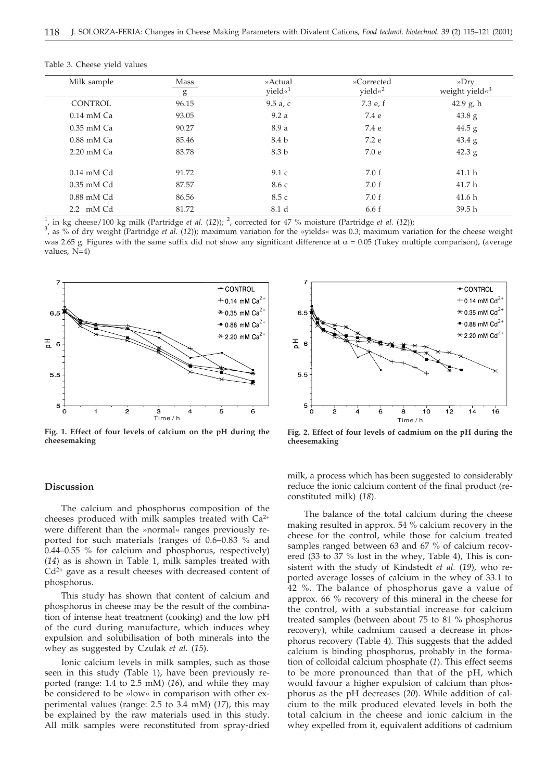| Milk sample           | Mass<br>g | »Actual<br>yield« <sup>1</sup> | »Corrected<br>yield« <sup>2</sup> | »Dry<br>weight yield« <sup>3</sup> |
|-----------------------|-----------|--------------------------------|-----------------------------------|------------------------------------|
| <b>CONTROL</b>        | 96.15     | $9.5a$ , c                     | 7.3 e, f                          | 42.9 g, h                          |
| $0.14$ mM $Ca$        | 93.05     | 9.2a                           | 7.4 e                             | $43.8\text{ g}$                    |
| $0.35$ mM $Ca$        | 90.27     | 8.9 a                          | 7.4 e                             | $44.5$ g                           |
| $0.88$ mM $Ca$        | 85.46     | 8.4 b                          | 7.2 e                             | $43.4\text{ g}$                    |
| $2.20 \text{ mM}$ Ca  | 83.78     | 8.3 b                          | 7.0e                              | $42.3$ g                           |
| $0.14 \text{ mM } Cd$ | 91.72     | 9.1c                           | 7.0 f                             | 41.1 <sub>h</sub>                  |
| $0.35$ mM Cd          | 87.57     | 8.6 с                          | 7.0 f                             | 41.7 <sub>h</sub>                  |
| $0.88$ mM Cd          | 86.56     | 8.5 c                          | 7.0 f                             | 41.6 <sub>h</sub>                  |
| 2.2 mM Cd             | 81.72     | 8.1 d                          | 6.6f                              | 39.5 <sub>h</sub>                  |

Table 3. Cheese yield values

1 in kg cheese/100 kg milk (Partridge *et al.* (12)); <sup>2</sup>, corrected for 47 % moisture (Partridge *et al.* (12));

<sup>1</sup>, in kg cheese/100 kg milk (Partridge *et al.* (12)); <sup>2</sup>, corrected for 47 % moisture (Partridge *et al.* (12));<br><sup>3</sup>, as % of dry weight (Partridge *et al.* (12)); maximum variation for the »yields« was 0.3; maximum va was 2.65 g. Figures with the same suffix did not show any significant difference at  $\alpha$  = 0.05 (Tukey multiple comparison), (average values, N=4)



**Fig. 1. Effect of four levels of calcium on the pH during the cheesemaking**



**Fig. 2. Effect of four levels of cadmium on the pH during the cheesemaking**

#### **Discussion**

The calcium and phosphorus composition of the cheeses produced with milk samples treated with  $Ca^{2+}$ were different than the »normal« ranges previously reported for such materials (ranges of 0.6–0.83 % and 0.44–0.55 % for calcium and phosphorus, respectively) (*14*) as is shown in Table 1, milk samples treated with  $Cd^{2+}$  gave as a result cheeses with decreased content of phosphorus.

This study has shown that content of calcium and phosphorus in cheese may be the result of the combination of intense heat treatment (cooking) and the low pH of the curd during manufacture, which induces whey expulsion and solubilisation of both minerals into the whey as suggested by Czulak *et al.* (*15*).

Ionic calcium levels in milk samples, such as those seen in this study (Table 1), have been previously reported (range: 1.4 to 2.5 mM) (*16*), and while they may be considered to be »low« in comparison with other experimental values (range: 2.5 to 3.4 mM) (*17*), this may be explained by the raw materials used in this study. All milk samples were reconstituted from spray-dried

milk, a process which has been suggested to considerably reduce the ionic calcium content of the final product (reconstituted milk) (*18*).

The balance of the total calcium during the cheese making resulted in approx. 54 % calcium recovery in the cheese for the control, while those for calcium treated samples ranged between 63 and 67 % of calcium recovered (33 to 37 % lost in the whey, Table 4), This is consistent with the study of Kindstedt *et al.* (*19*), who reported average losses of calcium in the whey of 33.1 to 42 %. The balance of phosphorus gave a value of approx. 66 % recovery of this mineral in the cheese for the control, with a substantial increase for calcium treated samples (between about 75 to 81 % phosphorus recovery), while cadmium caused a decrease in phosphorus recovery (Table 4). This suggests that the added calcium is binding phosphorus, probably in the formation of colloidal calcium phosphate (*1*). This effect seems to be more pronounced than that of the pH, which would favour a higher expulsion of calcium than phosphorus as the pH decreases (*20*). While addition of calcium to the milk produced elevated levels in both the total calcium in the cheese and ionic calcium in the whey expelled from it, equivalent additions of cadmium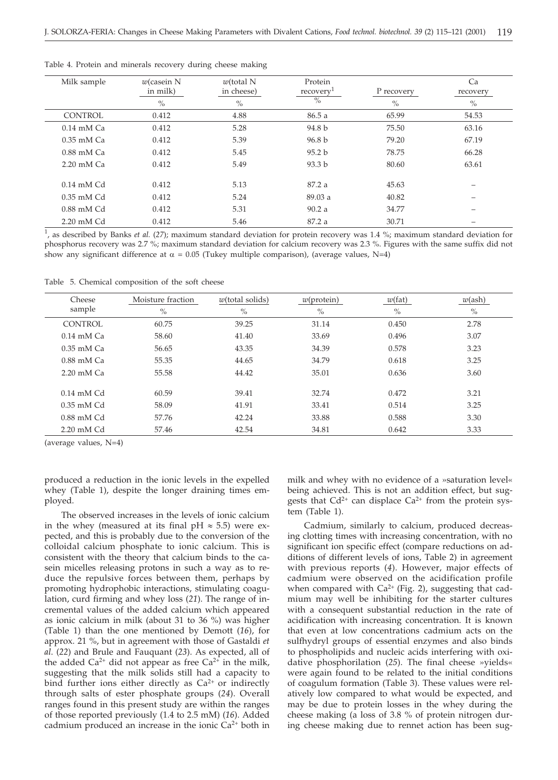| Milk sample          | $w$ (casein N<br>in milk) | $w$ (total N<br>in cheese) | Protein<br>recovery | P recovery | Ca<br>recovery |
|----------------------|---------------------------|----------------------------|---------------------|------------|----------------|
|                      | $\%$                      | $\%$                       | $\%$                | $\%$       | $\%$           |
| <b>CONTROL</b>       | 0.412                     | 4.88                       | 86.5a               | 65.99      | 54.53          |
| $0.14$ mM $Ca$       | 0.412                     | 5.28                       | 94.8 b              | 75.50      | 63.16          |
| $0.35$ mM $Ca$       | 0.412                     | 5.39                       | 96.8 <sub>b</sub>   | 79.20      | 67.19          |
| $0.88$ mM $Ca$       | 0.412                     | 5.45                       | 95.2 b              | 78.75      | 66.28          |
| $2.20 \text{ mM}$ Ca | 0.412                     | 5.49                       | 93.3 <sub>b</sub>   | 80.60      | 63.61          |
|                      |                           |                            |                     |            |                |
| $0.14$ mM Cd         | 0.412                     | 5.13                       | 87.2 a              | 45.63      | -              |
| $0.35$ mM Cd         | 0.412                     | 5.24                       | 89.03a              | 40.82      | -              |
| $0.88$ mM Cd         | 0.412                     | 5.31                       | 90.2a               | 34.77      |                |
| $2.20$ mM $Cd$       | 0.412                     | 5.46                       | 87.2a               | 30.71      |                |

Table 4. Protein and minerals recovery during cheese making

1 , as described by Banks *et al.* (*27*); maximum standard deviation for protein recovery was 1.4 %; maximum standard deviation for phosphorus recovery was 2.7 %; maximum standard deviation for calcium recovery was 2.3 %. Figures with the same suffix did not show any significant difference at  $\alpha = 0.05$  (Tukey multiple comparison), (average values, N=4)

Table 5. Chemical composition of the soft cheese

| Cheese<br>sample      | Moisture fraction<br>$\%$ | $w$ (total solids)<br>$\%$ | $w$ (protein)<br>$\%$ | w(fat)<br>$\%$ | $w(\text{ash})$<br>$\%$ |
|-----------------------|---------------------------|----------------------------|-----------------------|----------------|-------------------------|
| <b>CONTROL</b>        | 60.75                     | 39.25                      | 31.14                 | 0.450          | 2.78                    |
| $0.14 \text{ mM}$ Ca  | 58.60                     | 41.40                      | 33.69                 | 0.496          | 3.07                    |
| $0.35$ mM Ca          | 56.65                     | 43.35                      | 34.39                 | 0.578          | 3.23                    |
| $0.88$ mM Ca          | 55.35                     | 44.65                      | 34.79                 | 0.618          | 3.25                    |
| $2.20 \text{ mM}$ Ca  | 55.58                     | 44.42                      | 35.01                 | 0.636          | 3.60                    |
| $0.14 \text{ mM } Cd$ | 60.59                     | 39.41                      | 32.74                 | 0.472          | 3.21                    |
| $0.35$ mM Cd          | 58.09                     | 41.91                      | 33.41                 | 0.514          | 3.25                    |
| $0.88$ mM Cd          | 57.76                     | 42.24                      | 33.88                 | 0.588          | 3.30                    |
| 2.20 mM Cd            | 57.46                     | 42.54                      | 34.81                 | 0.642          | 3.33                    |

(average values, N=4)

produced a reduction in the ionic levels in the expelled whey (Table 1), despite the longer draining times employed.

The observed increases in the levels of ionic calcium in the whey (measured at its final pH  $\approx$  5.5) were expected, and this is probably due to the conversion of the colloidal calcium phosphate to ionic calcium. This is consistent with the theory that calcium binds to the casein micelles releasing protons in such a way as to reduce the repulsive forces between them, perhaps by promoting hydrophobic interactions, stimulating coagulation, curd firming and whey loss (*21*). The range of incremental values of the added calcium which appeared as ionic calcium in milk (about 31 to 36 %) was higher (Table 1) than the one mentioned by Demott (*16*), for approx. 21 %, but in agreement with those of Gastaldi *et al*. (*22*) and Brule and Fauquant (*23*). As expected, all of the added  $Ca^{2+}$  did not appear as free  $Ca^{2+}$  in the milk, suggesting that the milk solids still had a capacity to bind further ions either directly as  $Ca^{2+}$  or indirectly through salts of ester phosphate groups (*24*). Overall ranges found in this present study are within the ranges of those reported previously (1.4 to 2.5 mM) (*16*). Added cadmium produced an increase in the ionic  $Ca<sup>2+</sup>$  both in

milk and whey with no evidence of a »saturation level« being achieved. This is not an addition effect, but suggests that  $Cd^{2+}$  can displace  $Ca^{2+}$  from the protein system (Table 1).

Cadmium, similarly to calcium, produced decreasing clotting times with increasing concentration, with no significant ion specific effect (compare reductions on additions of different levels of ions, Table 2) in agreement with previous reports (*4*). However, major effects of cadmium were observed on the acidification profile when compared with  $Ca^{2+}$  (Fig. 2), suggesting that cadmium may well be inhibiting for the starter cultures with a consequent substantial reduction in the rate of acidification with increasing concentration. It is known that even at low concentrations cadmium acts on the sulfhydryl groups of essential enzymes and also binds to phospholipids and nucleic acids interfering with oxidative phosphorilation (*25*). The final cheese »yields« were again found to be related to the initial conditions of coagulum formation (Table 3). These values were relatively low compared to what would be expected, and may be due to protein losses in the whey during the cheese making (a loss of 3.8 % of protein nitrogen during cheese making due to rennet action has been sug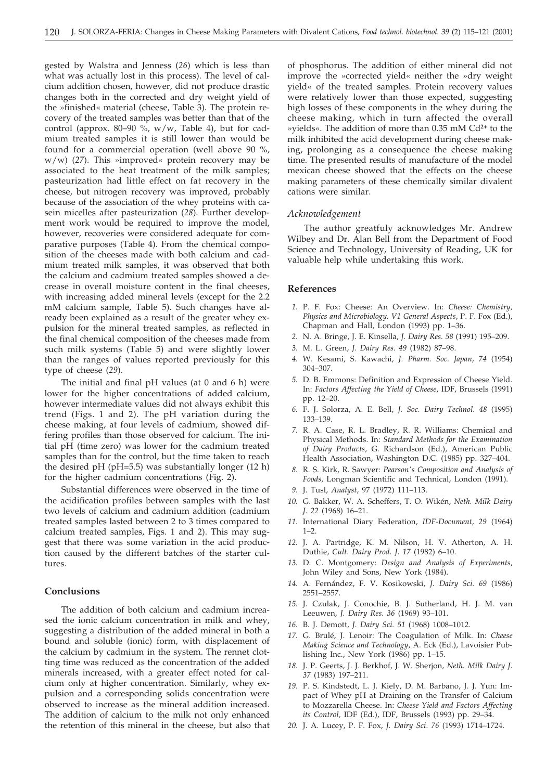gested by Walstra and Jenness (*26*) which is less than what was actually lost in this process). The level of calcium addition chosen, however, did not produce drastic changes both in the corrected and dry weight yield of the »finished« material (cheese, Table 3). The protein recovery of the treated samples was better than that of the control (approx. 80–90 %,  $w/w$ , Table 4), but for cadmium treated samples it is still lower than would be found for a commercial operation (well above 90 %, w/w) (*27*). This »improved« protein recovery may be associated to the heat treatment of the milk samples; pasteurization had little effect on fat recovery in the cheese, but nitrogen recovery was improved, probably because of the association of the whey proteins with casein micelles after pasteurization (*28*). Further development work would be required to improve the model, however, recoveries were considered adequate for comparative purposes (Table 4). From the chemical composition of the cheeses made with both calcium and cadmium treated milk samples, it was observed that both the calcium and cadmium treated samples showed a decrease in overall moisture content in the final cheeses, with increasing added mineral levels (except for the 2.2 mM calcium sample, Table 5). Such changes have already been explained as a result of the greater whey expulsion for the mineral treated samples, as reflected in the final chemical composition of the cheeses made from such milk systems (Table 5) and were slightly lower than the ranges of values reported previously for this type of cheese (*29*).

The initial and final pH values (at 0 and 6 h) were lower for the higher concentrations of added calcium, however intermediate values did not always exhibit this trend (Figs. 1 and 2). The pH variation during the cheese making, at four levels of cadmium, showed differing profiles than those observed for calcium. The initial pH (time zero) was lower for the cadmium treated samples than for the control, but the time taken to reach the desired pH (pH=5.5) was substantially longer (12 h) for the higher cadmium concentrations (Fig. 2).

Substantial differences were observed in the time of the acidification profiles between samples with the last two levels of calcium and cadmium addition (cadmium treated samples lasted between 2 to 3 times compared to calcium treated samples, Figs. 1 and 2). This may suggest that there was some variation in the acid production caused by the different batches of the starter cultures.

### **Conclusions**

The addition of both calcium and cadmium increased the ionic calcium concentration in milk and whey, suggesting a distribution of the added mineral in both a bound and soluble (ionic) form, with displacement of the calcium by cadmium in the system. The rennet clotting time was reduced as the concentration of the added minerals increased, with a greater effect noted for calcium only at higher concentration. Similarly, whey expulsion and a corresponding solids concentration were observed to increase as the mineral addition increased. The addition of calcium to the milk not only enhanced the retention of this mineral in the cheese, but also that

of phosphorus. The addition of either mineral did not improve the »corrected yield« neither the »dry weight yield« of the treated samples. Protein recovery values were relatively lower than those expected, suggesting high losses of these components in the whey during the cheese making, which in turn affected the overall »yields«. The addition of more than 0.35 mM Cd**2+** to the milk inhibited the acid development during cheese making, prolonging as a consequence the cheese making time. The presented results of manufacture of the model mexican cheese showed that the effects on the cheese making parameters of these chemically similar divalent cations were similar.

### *Acknowledgement*

The author greatfuly acknowledges Mr. Andrew Wilbey and Dr. Alan Bell from the Department of Food Science and Technology, University of Reading, UK for valuable help while undertaking this work.

#### **References**

- *1.* P. F. Fox: Cheese: An Overview. In: *Cheese: Chemistry, Physics and Microbiology. V1 General Aspects*, P. F. Fox (Ed.), Chapman and Hall, London (1993) pp. 1–36.
- *2.* N. A. Bringe, J. E. Kinsella, *J. Dairy Res. 58* (1991) 195–209.
- *3.* M. L. Green, *J. Dairy Res*. *49* (1982) 87–98.
- *4.* W. Kesami, S. Kawachi, *J. Pharm. Soc. Japan*, *74* (1954) 304–307.
- *5.* D. B. Emmons: Definition and Expression of Cheese Yield. In: *Factors Affecting the Yield of Cheese*, IDF, Brussels (1991) pp. 12–20.
- *6.* F. J. Solorza, A. E. Bell, *J. Soc. Dairy Technol. 48* (1995) 133–139.
- *7.* R. A. Case, R. L. Bradley, R. R. Williams: Chemical and Physical Methods. In: *Standard Methods for the Examination of Dairy Products*, G. Richardson (Ed.), American Public Health Association, Washington D.C. (1985) pp. 327–404.
- *8.* R. S. Kirk, R. Sawyer: *Pearson's Composition and Analysis of Foods,* Longman Scientific and Technical, London (1991).
- *9.* J. Tusl, *Analyst*, 97 (1972) 111–113.
- *10.* G. Bakker, W. A. Scheffers, T. O. Wikén, *Neth. Milk Dairy J. 22* (1968) 16–21.
- *11.* International Diary Federation, *IDF-Document*, *29* (1964)  $1 - 2$ .
- *12.* J. A. Partridge, K. M. Nilson, H. V. Atherton, A. H. Duthie, *Cult. Dairy Prod. J. 17* (1982) 6–10.
- *13.* D. C. Montgomery: *Design and Analysis of Experiments*, John Wiley and Sons, New York (1984).
- *14.* A. Fernández, F. V. Kosikowski, *J. Dairy Sci. 69* (1986) 2551–2557.
- *15.* J. Czulak, J. Conochie, B. J. Sutherland, H. J. M. van Leeuwen, *J. Dairy Res. 36* (1969) 93–101.
- *16.* B. J. Demott, *J. Dairy Sci. 51* (1968) 1008–1012.
- *17.* G. Brulé, J. Lenoir: The Coagulation of Milk. In: *Cheese Making Science and Technology*, A. Eck (Ed.), Lavoisier Publishing Inc., New York (1986) pp. 1–15.
- *18.* J. P. Geerts, J. J. Berkhof, J. W. Sherjon, *Neth. Milk Dairy J. 37* (1983) 197–211.
- *19.* P. S. Kindstedt, L. J. Kiely, D. M. Barbano, J. J. Yun: Impact of Whey pH at Draining on the Transfer of Calcium to Mozzarella Cheese. In: *Cheese Yield and Factors Affecting its Control,* IDF (Ed.), IDF, Brussels (1993) pp. 29–34.
- *20.* J. A. Lucey, P. F. Fox, *J. Dairy Sci*. *76* (1993) 1714–1724.